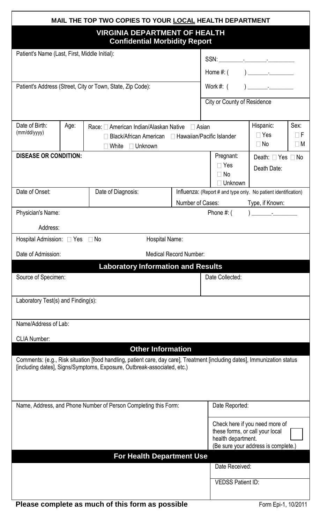| MAIL THE TOP TWO COPIES TO YOUR LOCAL HEALTH DEPARTMENT                                                                                                                                              |                           |  |  |                                                                                                                                                                                                                                                                                                                                                                                                                                                                                                                                                                                                                                                                           |                                                                                                                                |  |  |
|------------------------------------------------------------------------------------------------------------------------------------------------------------------------------------------------------|---------------------------|--|--|---------------------------------------------------------------------------------------------------------------------------------------------------------------------------------------------------------------------------------------------------------------------------------------------------------------------------------------------------------------------------------------------------------------------------------------------------------------------------------------------------------------------------------------------------------------------------------------------------------------------------------------------------------------------------|--------------------------------------------------------------------------------------------------------------------------------|--|--|
| <b>VIRGINIA DEPARTMENT OF HEALTH</b><br><b>Confidential Morbidity Report</b>                                                                                                                         |                           |  |  |                                                                                                                                                                                                                                                                                                                                                                                                                                                                                                                                                                                                                                                                           |                                                                                                                                |  |  |
| Patient's Name (Last, First, Middle Initial):                                                                                                                                                        |                           |  |  |                                                                                                                                                                                                                                                                                                                                                                                                                                                                                                                                                                                                                                                                           |                                                                                                                                |  |  |
|                                                                                                                                                                                                      |                           |  |  |                                                                                                                                                                                                                                                                                                                                                                                                                                                                                                                                                                                                                                                                           |                                                                                                                                |  |  |
| Patient's Address (Street, City or Town, State, Zip Code):                                                                                                                                           |                           |  |  |                                                                                                                                                                                                                                                                                                                                                                                                                                                                                                                                                                                                                                                                           |                                                                                                                                |  |  |
|                                                                                                                                                                                                      |                           |  |  | City or County of Residence                                                                                                                                                                                                                                                                                                                                                                                                                                                                                                                                                                                                                                               |                                                                                                                                |  |  |
| Date of Birth:<br>Age:<br>Race: American Indian/Alaskan Native Asian<br>(mm/dd/yyyy)<br>□ Black/African American □ Hawaiian/Pacific Islander<br>$\Box$ White $\Box$ Unknown                          |                           |  |  | Hispanic:<br>$\Box$ Yes<br>$\Box$ No                                                                                                                                                                                                                                                                                                                                                                                                                                                                                                                                                                                                                                      | Sex:<br>ΠF<br>$\Box$ M                                                                                                         |  |  |
| <b>DISEASE OR CONDITION:</b>                                                                                                                                                                         |                           |  |  | Pregnant:<br>$\Box$ Yes<br>$\Box$ No<br>□ Unknown                                                                                                                                                                                                                                                                                                                                                                                                                                                                                                                                                                                                                         | Death: $\Box$ Yes $\Box$ No<br>Death Date:                                                                                     |  |  |
| Date of Onset:<br>Date of Diagnosis:                                                                                                                                                                 |                           |  |  | Influenza: (Report # and type only. No patient identification)                                                                                                                                                                                                                                                                                                                                                                                                                                                                                                                                                                                                            |                                                                                                                                |  |  |
| Number of Cases:<br>Physician's Name:                                                                                                                                                                |                           |  |  | Type, if Known:<br>$) \underline{\hspace{1cm}} \underline{\hspace{1cm}} \underline{\hspace{1cm}} \underline{\hspace{1cm}} \underline{\hspace{1cm}} \underline{\hspace{1cm}} \underline{\hspace{1cm}} \underline{\hspace{1cm}} \underline{\hspace{1cm}} \underline{\hspace{1cm}} \underline{\hspace{1cm}} \underline{\hspace{1cm}} \underline{\hspace{1cm}} \underline{\hspace{1cm}} \underline{\hspace{1cm}} \underline{\hspace{1cm}} \underline{\hspace{1cm}} \underline{\hspace{1cm}} \underline{\hspace{1cm}} \underline{\hspace{1cm}} \underline{\hspace{1cm}} \underline{\hspace{1cm}} \underline{\hspace{1cm}} \underline{\hspace{1cm}} \underline{\$<br>Phone #: ( |                                                                                                                                |  |  |
|                                                                                                                                                                                                      |                           |  |  |                                                                                                                                                                                                                                                                                                                                                                                                                                                                                                                                                                                                                                                                           |                                                                                                                                |  |  |
| Address:<br>Hospital Admission: Yes No<br>Hospital Name:                                                                                                                                             |                           |  |  |                                                                                                                                                                                                                                                                                                                                                                                                                                                                                                                                                                                                                                                                           |                                                                                                                                |  |  |
| Date of Admission:<br>Medical Record Number:                                                                                                                                                         |                           |  |  |                                                                                                                                                                                                                                                                                                                                                                                                                                                                                                                                                                                                                                                                           |                                                                                                                                |  |  |
| <b>Laboratory Information and Results</b>                                                                                                                                                            |                           |  |  |                                                                                                                                                                                                                                                                                                                                                                                                                                                                                                                                                                                                                                                                           |                                                                                                                                |  |  |
| Source of Specimen:                                                                                                                                                                                  |                           |  |  | Date Collected:                                                                                                                                                                                                                                                                                                                                                                                                                                                                                                                                                                                                                                                           |                                                                                                                                |  |  |
| Laboratory Test(s) and Finding(s):                                                                                                                                                                   |                           |  |  |                                                                                                                                                                                                                                                                                                                                                                                                                                                                                                                                                                                                                                                                           |                                                                                                                                |  |  |
| Name/Address of Lab:<br><b>CLIA Number:</b>                                                                                                                                                          |                           |  |  |                                                                                                                                                                                                                                                                                                                                                                                                                                                                                                                                                                                                                                                                           |                                                                                                                                |  |  |
| <b>Other Information</b>                                                                                                                                                                             |                           |  |  |                                                                                                                                                                                                                                                                                                                                                                                                                                                                                                                                                                                                                                                                           |                                                                                                                                |  |  |
| Comments: (e.g., Risk situation [food handling, patient care, day care], Treatment [including dates], Immunization status<br>[including dates], Signs/Symptoms, Exposure, Outbreak-associated, etc.) |                           |  |  |                                                                                                                                                                                                                                                                                                                                                                                                                                                                                                                                                                                                                                                                           |                                                                                                                                |  |  |
| Name, Address, and Phone Number of Person Completing this Form:                                                                                                                                      |                           |  |  |                                                                                                                                                                                                                                                                                                                                                                                                                                                                                                                                                                                                                                                                           | Date Reported:                                                                                                                 |  |  |
|                                                                                                                                                                                                      |                           |  |  |                                                                                                                                                                                                                                                                                                                                                                                                                                                                                                                                                                                                                                                                           | Check here if you need more of<br>these forms, or call your local<br>health department.<br>(Be sure your address is complete.) |  |  |
|                                                                                                                                                                                                      | For Health Department Use |  |  |                                                                                                                                                                                                                                                                                                                                                                                                                                                                                                                                                                                                                                                                           |                                                                                                                                |  |  |
|                                                                                                                                                                                                      |                           |  |  | Date Received:                                                                                                                                                                                                                                                                                                                                                                                                                                                                                                                                                                                                                                                            |                                                                                                                                |  |  |
|                                                                                                                                                                                                      |                           |  |  | <b>VEDSS Patient ID:</b>                                                                                                                                                                                                                                                                                                                                                                                                                                                                                                                                                                                                                                                  |                                                                                                                                |  |  |